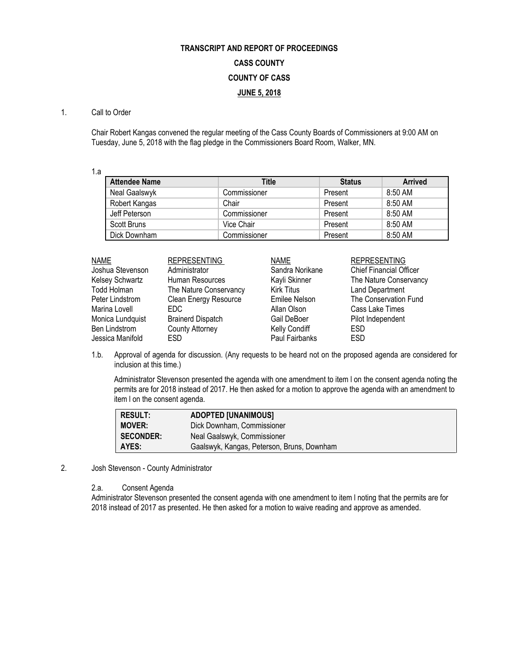# **TRANSCRIPT AND REPORT OF PROCEEDINGS CASS COUNTY COUNTY OF CASS JUNE 5, 2018**

### 1. Call to Order

Chair Robert Kangas convened the regular meeting of the Cass County Boards of Commissioners at 9:00 AM on Tuesday, June 5, 2018 with the flag pledge in the Commissioners Board Room, Walker, MN.

1.a

| <b>Attendee Name</b> | Title        | <b>Status</b> | <b>Arrived</b> |
|----------------------|--------------|---------------|----------------|
| Neal Gaalswyk        | Commissioner | Present       | $8:50$ AM      |
| Robert Kangas        | Chair        | Present       | 8:50 AM        |
| Jeff Peterson        | Commissioner | Present       | 8:50 AM        |
| Scott Bruns          | Vice Chair   | Present       | 8:50 AM        |
| Dick Downham         | Commissioner | Present       | 8:50 AM        |

| <b>NAME</b>      | <b>REPRESENTING</b>      | <b>NAME</b>          | <b>REPRESENTING</b>            |
|------------------|--------------------------|----------------------|--------------------------------|
| Joshua Stevenson | Administrator            | Sandra Norikane      | <b>Chief Financial Officer</b> |
| Kelsey Schwartz  | Human Resources          | Kayli Skinner        | The Nature Conservancy         |
| Todd Holman      | The Nature Conservancy   | <b>Kirk Titus</b>    | <b>Land Department</b>         |
| Peter Lindstrom  | Clean Energy Resource    | Emilee Nelson        | The Conservation Fund          |
| Marina Lovell    | EDC.                     | Allan Olson          | Cass Lake Times                |
| Monica Lundquist | <b>Brainerd Dispatch</b> | Gail DeBoer          | Pilot Independent              |
| Ben Lindstrom    | <b>County Attorney</b>   | <b>Kelly Condiff</b> | <b>ESD</b>                     |
| Jessica Manifold | ESD.                     | Paul Fairbanks       | <b>ESD</b>                     |

1.b. Approval of agenda for discussion. (Any requests to be heard not on the proposed agenda are considered for inclusion at this time.)

Administrator Stevenson presented the agenda with one amendment to item l on the consent agenda noting the permits are for 2018 instead of 2017. He then asked for a motion to approve the agenda with an amendment to item l on the consent agenda.

| <b>RESULT:</b>   | <b>ADOPTED [UNANIMOUS]</b>                 |
|------------------|--------------------------------------------|
| <b>MOVER:</b>    | Dick Downham, Commissioner                 |
| <b>SECONDER:</b> | Neal Gaalswyk, Commissioner                |
| AYES:            | Gaalswyk, Kangas, Peterson, Bruns, Downham |

2. Josh Stevenson - County Administrator

2.a. Consent Agenda

Administrator Stevenson presented the consent agenda with one amendment to item l noting that the permits are for 2018 instead of 2017 as presented. He then asked for a motion to waive reading and approve as amended.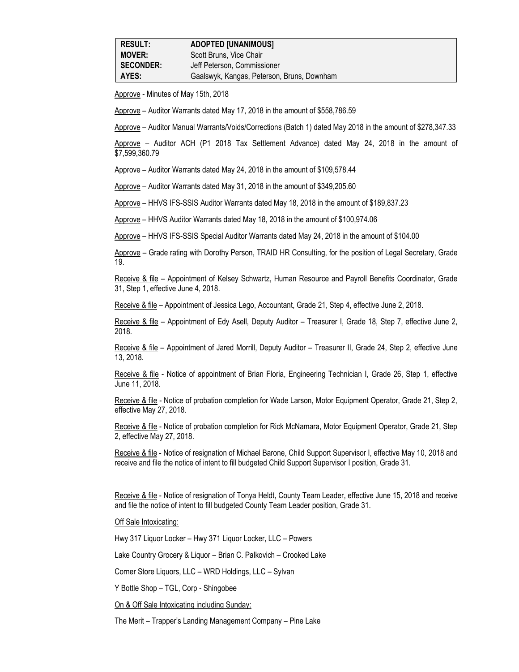Approve - Minutes of May 15th, 2018

Approve – Auditor Warrants dated May 17, 2018 in the amount of \$558,786.59

Approve – Auditor Manual Warrants/Voids/Corrections (Batch 1) dated May 2018 in the amount of \$278,347.33

Approve – Auditor ACH (P1 2018 Tax Settlement Advance) dated May 24, 2018 in the amount of \$7,599,360.79

Approve – Auditor Warrants dated May 24, 2018 in the amount of \$109,578.44

Approve – Auditor Warrants dated May 31, 2018 in the amount of \$349,205.60

Approve – HHVS IFS-SSIS Auditor Warrants dated May 18, 2018 in the amount of \$189,837.23

Approve – HHVS Auditor Warrants dated May 18, 2018 in the amount of \$100,974.06

Approve – HHVS IFS-SSIS Special Auditor Warrants dated May 24, 2018 in the amount of \$104.00

Approve – Grade rating with Dorothy Person, TRAID HR Consulting, for the position of Legal Secretary, Grade 19.

Receive & file - Appointment of Kelsey Schwartz, Human Resource and Payroll Benefits Coordinator, Grade 31, Step 1, effective June 4, 2018.

Receive & file – Appointment of Jessica Lego, Accountant, Grade 21, Step 4, effective June 2, 2018.

Receive & file – Appointment of Edy Asell, Deputy Auditor – Treasurer I, Grade 18, Step 7, effective June 2, 2018.

Receive & file – Appointment of Jared Morrill, Deputy Auditor – Treasurer II, Grade 24, Step 2, effective June 13, 2018.

Receive & file - Notice of appointment of Brian Floria, Engineering Technician I, Grade 26, Step 1, effective June 11, 2018.

Receive & file - Notice of probation completion for Wade Larson, Motor Equipment Operator, Grade 21, Step 2, effective May 27, 2018.

Receive & file - Notice of probation completion for Rick McNamara, Motor Equipment Operator, Grade 21, Step 2, effective May 27, 2018.

Receive & file - Notice of resignation of Michael Barone, Child Support Supervisor I, effective May 10, 2018 and receive and file the notice of intent to fill budgeted Child Support Supervisor I position, Grade 31.

Receive & file - Notice of resignation of Tonya Heldt, County Team Leader, effective June 15, 2018 and receive and file the notice of intent to fill budgeted County Team Leader position, Grade 31.

Off Sale Intoxicating:

Hwy 317 Liquor Locker – Hwy 371 Liquor Locker, LLC – Powers

Lake Country Grocery & Liquor – Brian C. Palkovich – Crooked Lake

Corner Store Liquors, LLC – WRD Holdings, LLC – Sylvan

Y Bottle Shop – TGL, Corp - Shingobee

On & Off Sale Intoxicating including Sunday:

The Merit – Trapper's Landing Management Company – Pine Lake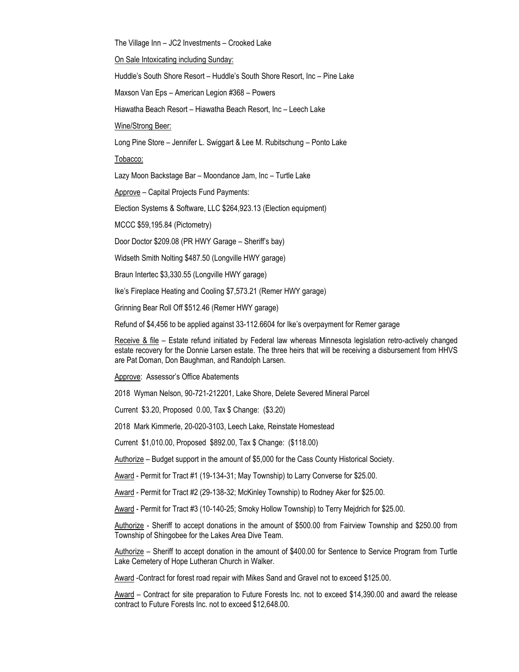The Village Inn – JC2 Investments – Crooked Lake

On Sale Intoxicating including Sunday:

Huddle's South Shore Resort – Huddle's South Shore Resort, Inc – Pine Lake

Maxson Van Eps – American Legion #368 – Powers

Hiawatha Beach Resort – Hiawatha Beach Resort, Inc – Leech Lake

Wine/Strong Beer:

Long Pine Store – Jennifer L. Swiggart & Lee M. Rubitschung – Ponto Lake

Tobacco:

Lazy Moon Backstage Bar – Moondance Jam, Inc – Turtle Lake

Approve – Capital Projects Fund Payments:

Election Systems & Software, LLC \$264,923.13 (Election equipment)

MCCC \$59,195.84 (Pictometry)

Door Doctor \$209.08 (PR HWY Garage – Sheriff's bay)

Widseth Smith Nolting \$487.50 (Longville HWY garage)

Braun Intertec \$3,330.55 (Longville HWY garage)

Ike's Fireplace Heating and Cooling \$7,573.21 (Remer HWY garage)

Grinning Bear Roll Off \$512.46 (Remer HWY garage)

Refund of \$4,456 to be applied against 33-112.6604 for Ike's overpayment for Remer garage

Receive & file – Estate refund initiated by Federal law whereas Minnesota legislation retro-actively changed estate recovery for the Donnie Larsen estate. The three heirs that will be receiving a disbursement from HHVS are Pat Doman, Don Baughman, and Randolph Larsen.

#### Approve: Assessor's Office Abatements

2018 Wyman Nelson, 90-721-212201, Lake Shore, Delete Severed Mineral Parcel

Current \$3.20, Proposed 0.00, Tax \$ Change: (\$3.20)

2018 Mark Kimmerle, 20-020-3103, Leech Lake, Reinstate Homestead

Current \$1,010.00, Proposed \$892.00, Tax \$ Change: (\$118.00)

Authorize – Budget support in the amount of \$5,000 for the Cass County Historical Society.

Award - Permit for Tract #1 (19-134-31; May Township) to Larry Converse for \$25.00.

Award - Permit for Tract #2 (29-138-32; McKinley Township) to Rodney Aker for \$25.00.

Award - Permit for Tract #3 (10-140-25; Smoky Hollow Township) to Terry Mejdrich for \$25.00.

Authorize - Sheriff to accept donations in the amount of \$500.00 from Fairview Township and \$250.00 from Township of Shingobee for the Lakes Area Dive Team.

Authorize – Sheriff to accept donation in the amount of \$400.00 for Sentence to Service Program from Turtle Lake Cemetery of Hope Lutheran Church in Walker.

Award -Contract for forest road repair with Mikes Sand and Gravel not to exceed \$125.00.

Award – Contract for site preparation to Future Forests Inc. not to exceed \$14,390.00 and award the release contract to Future Forests Inc. not to exceed \$12,648.00.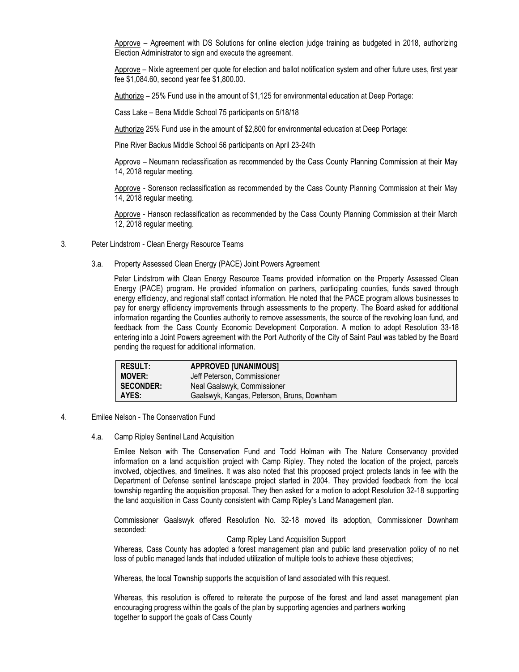Approve – Agreement with DS Solutions for online election judge training as budgeted in 2018, authorizing Election Administrator to sign and execute the agreement.

Approve – Nixle agreement per quote for election and ballot notification system and other future uses, first year fee \$1,084.60, second year fee \$1,800.00.

Authorize – 25% Fund use in the amount of \$1,125 for environmental education at Deep Portage:

Cass Lake – Bena Middle School 75 participants on 5/18/18

Authorize 25% Fund use in the amount of \$2,800 for environmental education at Deep Portage:

Pine River Backus Middle School 56 participants on April 23-24th

Approve – Neumann reclassification as recommended by the Cass County Planning Commission at their May 14, 2018 regular meeting.

Approve - Sorenson reclassification as recommended by the Cass County Planning Commission at their May 14, 2018 regular meeting.

Approve - Hanson reclassification as recommended by the Cass County Planning Commission at their March 12, 2018 regular meeting.

- 3. Peter Lindstrom Clean Energy Resource Teams
	- 3.a. Property Assessed Clean Energy (PACE) Joint Powers Agreement

Peter Lindstrom with Clean Energy Resource Teams provided information on the Property Assessed Clean Energy (PACE) program. He provided information on partners, participating counties, funds saved through energy efficiency, and regional staff contact information. He noted that the PACE program allows businesses to pay for energy efficiency improvements through assessments to the property. The Board asked for additional information regarding the Counties authority to remove assessments, the source of the revolving loan fund, and feedback from the Cass County Economic Development Corporation. A motion to adopt Resolution 33-18 entering into a Joint Powers agreement with the Port Authority of the City of Saint Paul was tabled by the Board pending the request for additional information.

| <b>RESULT:</b>   | <b>APPROVED [UNANIMOUS]</b>                |
|------------------|--------------------------------------------|
| <b>MOVER:</b>    | Jeff Peterson, Commissioner                |
| <b>SECONDER:</b> | Neal Gaalswyk, Commissioner                |
| AYES:            | Gaalswyk, Kangas, Peterson, Bruns, Downham |

- 4. Emilee Nelson The Conservation Fund
	- 4.a. Camp Ripley Sentinel Land Acquisition

Emilee Nelson with The Conservation Fund and Todd Holman with The Nature Conservancy provided information on a land acquisition project with Camp Ripley. They noted the location of the project, parcels involved, objectives, and timelines. It was also noted that this proposed project protects lands in fee with the Department of Defense sentinel landscape project started in 2004. They provided feedback from the local township regarding the acquisition proposal. They then asked for a motion to adopt Resolution 32-18 supporting the land acquisition in Cass County consistent with Camp Ripley's Land Management plan.

Commissioner Gaalswyk offered Resolution No. 32-18 moved its adoption, Commissioner Downham seconded:

Camp Ripley Land Acquisition Support

Whereas, Cass County has adopted a forest management plan and public land preservation policy of no net loss of public managed lands that included utilization of multiple tools to achieve these objectives;

Whereas, the local Township supports the acquisition of land associated with this request.

Whereas, this resolution is offered to reiterate the purpose of the forest and land asset management plan encouraging progress within the goals of the plan by supporting agencies and partners working together to support the goals of Cass County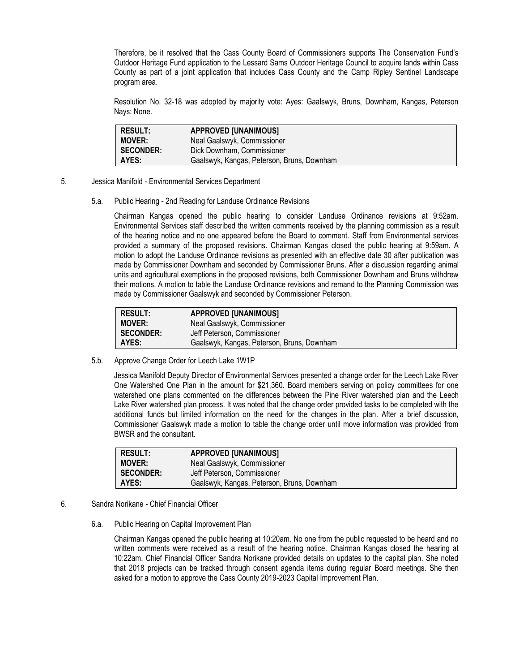Therefore, be it resolved that the Cass County Board of Commissioners supports The Conservation Fund's Outdoor Heritage Fund application to the Lessard Sams Outdoor Heritage Council to acquire lands within Cass County as part of a joint application that includes Cass County and the Camp Ripley Sentinel Landscape program area.

Resolution No. 32-18 was adopted by majority vote: Ayes: Gaalswyk, Bruns, Downham, Kangas, Peterson Nays: None.

| <b>RESULT:</b>   | <b>APPROVED [UNANIMOUS]</b>                |
|------------------|--------------------------------------------|
| <b>MOVER:</b>    | Neal Gaalswyk, Commissioner                |
| <b>SECONDER:</b> | Dick Downham, Commissioner                 |
| AYES:            | Gaalswyk, Kangas, Peterson, Bruns, Downham |

- 5. Jessica Manifold Environmental Services Department
	- 5.a. Public Hearing 2nd Reading for Landuse Ordinance Revisions

Chairman Kangas opened the public hearing to consider Landuse Ordinance revisions at 9:52am. Environmental Services staff described the written comments received by the planning commission as a result of the hearing notice and no one appeared before the Board to comment. Staff from Environmental services provided a summary of the proposed revisions. Chairman Kangas closed the public hearing at 9:59am. A motion to adopt the Landuse Ordinance revisions as presented with an effective date 30 after publication was made by Commissioner Downham and seconded by Commissioner Bruns. After a discussion regarding animal units and agricultural exemptions in the proposed revisions, both Commissioner Downham and Bruns withdrew their motions. A motion to table the Landuse Ordinance revisions and remand to the Planning Commission was made by Commissioner Gaalswyk and seconded by Commissioner Peterson.

| <b>RESULT:</b>   | <b>APPROVED [UNANIMOUS]</b>                |
|------------------|--------------------------------------------|
| <b>MOVER:</b>    | Neal Gaalswyk, Commissioner                |
| <b>SECONDER:</b> | Jeff Peterson, Commissioner                |
| I AYES:          | Gaalswyk, Kangas, Peterson, Bruns, Downham |

5.b. Approve Change Order for Leech Lake 1W1P

Jessica Manifold Deputy Director of Environmental Services presented a change order for the Leech Lake River One Watershed One Plan in the amount for \$21,360. Board members serving on policy committees for one watershed one plans commented on the differences between the Pine River watershed plan and the Leech Lake River watershed plan process. It was noted that the change order provided tasks to be completed with the additional funds but limited information on the need for the changes in the plan. After a brief discussion, Commissioner Gaalswyk made a motion to table the change order until move information was provided from BWSR and the consultant.

| <b>RESULT:</b><br><b>MOVER:</b> | <b>APPROVED [UNANIMOUS]</b><br>Neal Gaalswyk, Commissioner |
|---------------------------------|------------------------------------------------------------|
| <b>SECONDER:</b>                | Jeff Peterson, Commissioner                                |
| AYES:                           | Gaalswyk, Kangas, Peterson, Bruns, Downham                 |

- 6. Sandra Norikane Chief Financial Officer
	- 6.a. Public Hearing on Capital Improvement Plan

Chairman Kangas opened the public hearing at 10:20am. No one from the public requested to be heard and no written comments were received as a result of the hearing notice. Chairman Kangas closed the hearing at 10:22am. Chief Financial Officer Sandra Norikane provided details on updates to the capital plan. She noted that 2018 projects can be tracked through consent agenda items during regular Board meetings. She then asked for a motion to approve the Cass County 2019-2023 Capital Improvement Plan.